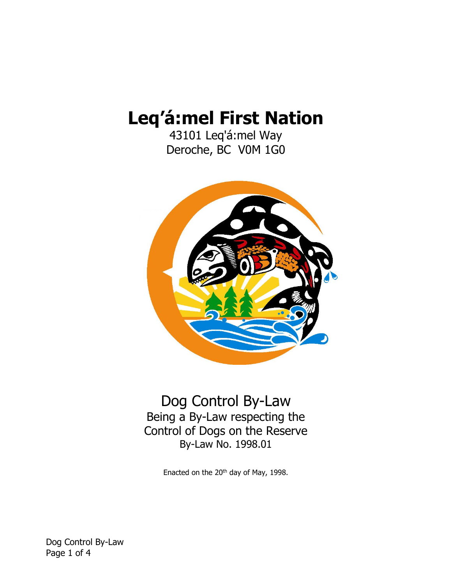# **Leq'á:mel First Nation**

43101 Leq'á:mel Way Deroche, BC V0M 1G0



Dog Control By-Law Being a By-Law respecting the Control of Dogs on the Reserve By-Law No. 1998.01

Enacted on the 20<sup>th</sup> day of May, 1998.

Dog Control By-Law Page 1 of 4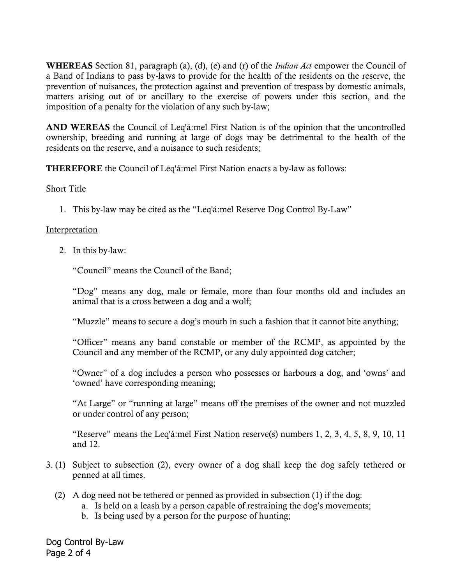**WHEREAS** Section 81, paragraph (a), (d), (e) and (r) of the *Indian Act* empower the Council of a Band of Indians to pass by-laws to provide for the health of the residents on the reserve, the prevention of nuisances, the protection against and prevention of trespass by domestic animals, matters arising out of or ancillary to the exercise of powers under this section, and the imposition of a penalty for the violation of any such by-law;

**AND WEREAS** the Council of Leq'á:mel First Nation is of the opinion that the uncontrolled ownership, breeding and running at large of dogs may be detrimental to the health of the residents on the reserve, and a nuisance to such residents;

**THEREFORE** the Council of Leq'á:mel First Nation enacts a by-law as follows:

#### Short Title

1. This by-law may be cited as the "Leq'á:mel Reserve Dog Control By-Law"

### **Interpretation**

2. In this by-law:

"Council" means the Council of the Band;

"Dog" means any dog, male or female, more than four months old and includes an animal that is a cross between a dog and a wolf;

"Muzzle" means to secure a dog's mouth in such a fashion that it cannot bite anything;

"Officer" means any band constable or member of the RCMP, as appointed by the Council and any member of the RCMP, or any duly appointed dog catcher;

"Owner" of a dog includes a person who possesses or harbours a dog, and 'owns' and 'owned' have corresponding meaning;

"At Large" or "running at large" means off the premises of the owner and not muzzled or under control of any person;

"Reserve" means the Leq'á:mel First Nation reserve(s) numbers 1, 2, 3, 4, 5, 8, 9, 10, 11 and 12.

- 3. (1) Subject to subsection (2), every owner of a dog shall keep the dog safely tethered or penned at all times.
	- (2) A dog need not be tethered or penned as provided in subsection (1) if the dog:
		- a. Is held on a leash by a person capable of restraining the dog's movements;
		- b. Is being used by a person for the purpose of hunting;

Dog Control By-Law Page 2 of 4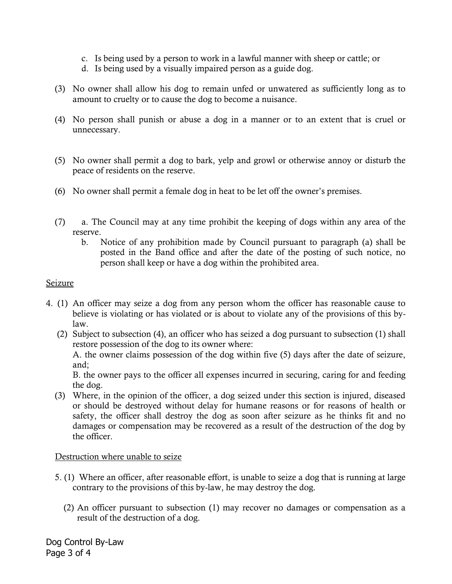- c. Is being used by a person to work in a lawful manner with sheep or cattle; or
- d. Is being used by a visually impaired person as a guide dog.
- (3) No owner shall allow his dog to remain unfed or unwatered as sufficiently long as to amount to cruelty or to cause the dog to become a nuisance.
- (4) No person shall punish or abuse a dog in a manner or to an extent that is cruel or unnecessary.
- (5) No owner shall permit a dog to bark, yelp and growl or otherwise annoy or disturb the peace of residents on the reserve.
- (6) No owner shall permit a female dog in heat to be let off the owner's premises.
- (7) a. The Council may at any time prohibit the keeping of dogs within any area of the reserve.
	- b. Notice of any prohibition made by Council pursuant to paragraph (a) shall be posted in the Band office and after the date of the posting of such notice, no person shall keep or have a dog within the prohibited area.

# Seizure

- 4. (1) An officer may seize a dog from any person whom the officer has reasonable cause to believe is violating or has violated or is about to violate any of the provisions of this bylaw.
	- (2) Subject to subsection (4), an officer who has seized a dog pursuant to subsection (1) shall restore possession of the dog to its owner where: A. the owner claims possession of the dog within five (5) days after the date of seizure, and;

B. the owner pays to the officer all expenses incurred in securing, caring for and feeding the dog.

(3) Where, in the opinion of the officer, a dog seized under this section is injured, diseased or should be destroyed without delay for humane reasons or for reasons of health or safety, the officer shall destroy the dog as soon after seizure as he thinks fit and no damages or compensation may be recovered as a result of the destruction of the dog by the officer.

# Destruction where unable to seize

- 5. (1) Where an officer, after reasonable effort, is unable to seize a dog that is running at large contrary to the provisions of this by-law, he may destroy the dog.
	- (2) An officer pursuant to subsection (1) may recover no damages or compensation as a result of the destruction of a dog.

Dog Control By-Law Page 3 of 4